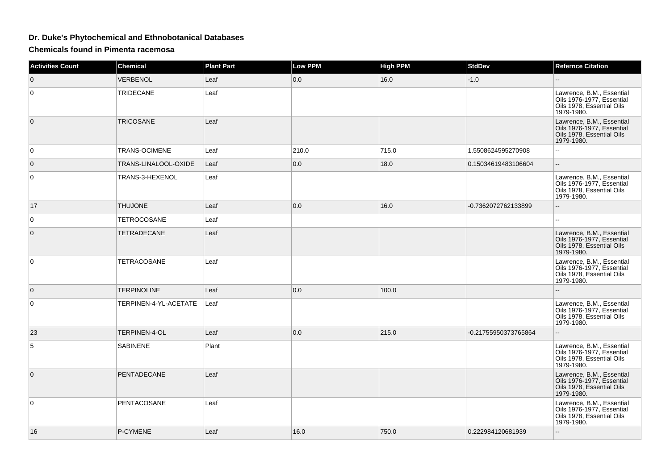## **Dr. Duke's Phytochemical and Ethnobotanical Databases**

**Chemicals found in Pimenta racemosa**

| <b>Activities Count</b> | <b>Chemical</b>       | <b>Plant Part</b> | <b>Low PPM</b> | <b>High PPM</b> | <b>StdDev</b>        | <b>Refernce Citation</b>                                                                          |
|-------------------------|-----------------------|-------------------|----------------|-----------------|----------------------|---------------------------------------------------------------------------------------------------|
| $\mathbf 0$             | VERBENOL              | Leaf              | 0.0            | 16.0            | $-1.0$               |                                                                                                   |
| $\mathbf 0$             | TRIDECANE             | Leaf              |                |                 |                      | Lawrence, B.M., Essential<br>Oils 1976-1977, Essential<br>Oils 1978, Essential Oils<br>1979-1980. |
| $\mathbf{0}$            | TRICOSANE             | Leaf              |                |                 |                      | Lawrence, B.M., Essential<br>Oils 1976-1977, Essential<br>Oils 1978, Essential Oils<br>1979-1980. |
| $\mathbf 0$             | TRANS-OCIMENE         | Leaf              | 210.0          | 715.0           | 1.5508624595270908   |                                                                                                   |
| $\mathbf{0}$            | TRANS-LINALOOL-OXIDE  | Leaf              | 0.0            | 18.0            | 0.15034619483106604  | $\overline{\phantom{a}}$                                                                          |
| $\mathbf 0$             | TRANS-3-HEXENOL       | Leaf              |                |                 |                      | Lawrence, B.M., Essential<br>Oils 1976-1977, Essential<br>Oils 1978, Essential Oils<br>1979-1980. |
| 17                      | <b>THUJONE</b>        | Leaf              | 0.0            | 16.0            | -0.7362072762133899  | Ш.                                                                                                |
| 0                       | TETROCOSANE           | Leaf              |                |                 |                      |                                                                                                   |
| $\mathbf{0}$            | TETRADECANE           | Leaf              |                |                 |                      | Lawrence, B.M., Essential<br>Oils 1976-1977, Essential<br>Oils 1978, Essential Oils<br>1979-1980. |
| 0                       | TETRACOSANE           | Leaf              |                |                 |                      | Lawrence, B.M., Essential<br>Oils 1976-1977, Essential<br>Oils 1978, Essential Oils<br>1979-1980. |
| $\mathbf 0$             | <b>TERPINOLINE</b>    | Leaf              | 0.0            | 100.0           |                      |                                                                                                   |
| 0                       | TERPINEN-4-YL-ACETATE | Leaf              |                |                 |                      | Lawrence, B.M., Essential<br>Oils 1976-1977, Essential<br>Oils 1978, Essential Oils<br>1979-1980. |
| 23                      | TERPINEN-4-OL         | Leaf              | 0.0            | 215.0           | -0.21755950373765864 | --                                                                                                |
| 5                       | <b>SABINENE</b>       | Plant             |                |                 |                      | Lawrence, B.M., Essential<br>Oils 1976-1977, Essential<br>Oils 1978, Essential Oils<br>1979-1980. |
| $\overline{0}$          | <b>PENTADECANE</b>    | Leaf              |                |                 |                      | Lawrence, B.M., Essential<br>Oils 1976-1977, Essential<br>Oils 1978, Essential Oils<br>1979-1980. |
| $\mathbf 0$             | PENTACOSANE           | Leaf              |                |                 |                      | Lawrence, B.M., Essential<br>Oils 1976-1977, Essential<br>Oils 1978, Essential Oils<br>1979-1980. |
| 16                      | P-CYMENE              | Leaf              | 16.0           | 750.0           | 0.222984120681939    | --                                                                                                |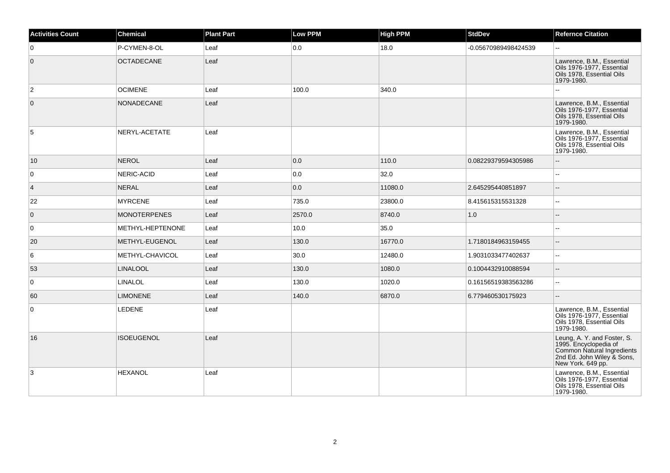| <b>Activities Count</b> | <b>Chemical</b>     | <b>Plant Part</b> | Low PPM | <b>High PPM</b> | <b>StdDev</b>        | <b>Refernce Citation</b>                                                                                                              |
|-------------------------|---------------------|-------------------|---------|-----------------|----------------------|---------------------------------------------------------------------------------------------------------------------------------------|
| 0                       | P-CYMEN-8-OL        | Leaf              | 0.0     | 18.0            | -0.05670989498424539 | $\mathbf{u}$                                                                                                                          |
| $\overline{0}$          | <b>OCTADECANE</b>   | Leaf              |         |                 |                      | Lawrence, B.M., Essential<br>Oils 1976-1977, Essential<br>Oils 1978, Essential Oils<br>1979-1980.                                     |
| $\overline{2}$          | <b>OCIMENE</b>      | Leaf              | 100.0   | 340.0           |                      |                                                                                                                                       |
| $\mathbf{0}$            | <b>NONADECANE</b>   | Leaf              |         |                 |                      | Lawrence, B.M., Essential<br>Oils 1976-1977, Essential<br>Oils 1978, Essential Oils<br>1979-1980.                                     |
| 5                       | NERYL-ACETATE       | Leaf              |         |                 |                      | Lawrence, B.M., Essential<br>Oils 1976-1977, Essential<br>Oils 1978, Essential Oils<br>1979-1980.                                     |
| 10                      | <b>NEROL</b>        | Leaf              | 0.0     | 110.0           | 0.08229379594305986  |                                                                                                                                       |
| 0                       | NERIC-ACID          | Leaf              | 0.0     | 32.0            |                      | $\overline{\phantom{a}}$                                                                                                              |
| $\overline{4}$          | <b>NERAL</b>        | Leaf              | 0.0     | 11080.0         | 2.645295440851897    | $\overline{a}$                                                                                                                        |
| 22                      | <b>MYRCENE</b>      | Leaf              | 735.0   | 23800.0         | 8.415615315531328    | $\overline{\phantom{a}}$                                                                                                              |
| $\overline{0}$          | <b>MONOTERPENES</b> | Leaf              | 2570.0  | 8740.0          | 1.0                  | $\sim$                                                                                                                                |
| $\mathbf{0}$            | METHYL-HEPTENONE    | Leaf              | 10.0    | 35.0            |                      |                                                                                                                                       |
| 20                      | METHYL-EUGENOL      | Leaf              | 130.0   | 16770.0         | 1.7180184963159455   | $\overline{\phantom{a}}$                                                                                                              |
| 6                       | METHYL-CHAVICOL     | Leaf              | 30.0    | 12480.0         | 1.9031033477402637   | $\sim$                                                                                                                                |
| 53                      | <b>LINALOOL</b>     | Leaf              | 130.0   | 1080.0          | 0.1004432910088594   |                                                                                                                                       |
| $\mathbf{0}$            | LINALOL             | Leaf              | 130.0   | 1020.0          | 0.16156519383563286  | $\overline{\phantom{a}}$                                                                                                              |
| 60                      | <b>LIMONENE</b>     | Leaf              | 140.0   | 6870.0          | 6.779460530175923    | $\overline{a}$                                                                                                                        |
| 0                       | LEDENE              | Leaf              |         |                 |                      | Lawrence, B.M., Essential<br>Oils 1976-1977, Essential<br>Oils 1978, Essential Oils<br>1979-1980.                                     |
| 16                      | <b>ISOEUGENOL</b>   | Leaf              |         |                 |                      | Leung, A. Y. and Foster, S.<br>1995. Encyclopedia of<br>Common Natural Ingredients<br>2nd Ed. John Wiley & Sons,<br>New York. 649 pp. |
| 3                       | <b>HEXANOL</b>      | Leaf              |         |                 |                      | Lawrence, B.M., Essential<br>Oils 1976-1977, Essential<br>Oils 1978, Essential Oils<br>1979-1980.                                     |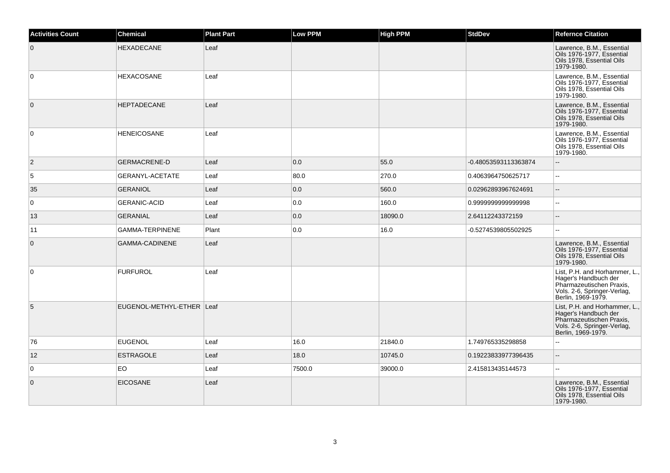| <b>Activities Count</b> | <b>Chemical</b>           | <b>Plant Part</b> | <b>Low PPM</b> | High PPM | <b>StdDev</b>        | <b>Refernce Citation</b>                                                                                                               |
|-------------------------|---------------------------|-------------------|----------------|----------|----------------------|----------------------------------------------------------------------------------------------------------------------------------------|
| $\overline{0}$          | <b>HEXADECANE</b>         | Leaf              |                |          |                      | Lawrence, B.M., Essential<br>Oils 1976-1977, Essential<br>Oils 1978. Essential Oils<br>1979-1980.                                      |
| $\overline{0}$          | <b>HEXACOSANE</b>         | Leaf              |                |          |                      | Lawrence, B.M., Essential<br>Oils 1976-1977, Essential<br>Oils 1978, Essential Oils<br>1979-1980.                                      |
| $\overline{0}$          | <b>HEPTADECANE</b>        | Leaf              |                |          |                      | Lawrence, B.M., Essential<br>Oils 1976-1977, Essential<br>Oils 1978, Essential Oils<br>1979-1980.                                      |
| $\overline{0}$          | <b>HENEICOSANE</b>        | Leaf              |                |          |                      | Lawrence, B.M., Essential<br>Oils 1976-1977, Essential<br>Oils 1978. Essential Oils<br>1979-1980.                                      |
| $\overline{2}$          | <b>GERMACRENE-D</b>       | Leaf              | 0.0            | 55.0     | -0.48053593113363874 | $\overline{a}$                                                                                                                         |
| 5                       | GERANYL-ACETATE           | Leaf              | 80.0           | 270.0    | 0.4063964750625717   | $\mathord{\hspace{1pt}\text{--}\hspace{1pt}}$                                                                                          |
| 35                      | <b>GERANIOL</b>           | Leaf              | 0.0            | 560.0    | 0.02962893967624691  | $\overline{\phantom{a}}$                                                                                                               |
| 0                       | <b>GERANIC-ACID</b>       | Leaf              | 0.0            | 160.0    | 0.9999999999999998   | $\sim$ $\sim$                                                                                                                          |
| 13                      | <b>GERANIAL</b>           | Leaf              | 0.0            | 18090.0  | 2.64112243372159     | $\overline{\phantom{a}}$                                                                                                               |
| 11                      | <b>GAMMA-TERPINENE</b>    | Plant             | 0.0            | 16.0     | -0.5274539805502925  | $\mathbf{u}$                                                                                                                           |
| $\overline{0}$          | GAMMA-CADINENE            | Leaf              |                |          |                      | Lawrence, B.M., Essential<br>Oils 1976-1977, Essential<br>Oils 1978, Essential Oils<br>1979-1980.                                      |
| $\overline{0}$          | <b>FURFUROL</b>           | Leaf              |                |          |                      | List, P.H. and Horhammer, L.,<br>Hager's Handbuch der<br>Pharmazeutischen Praxis,<br>Vols. 2-6, Springer-Verlag,<br>Berlin, 1969-1979. |
| 5                       | EUGENOL-METHYL-ETHER Leaf |                   |                |          |                      | List, P.H. and Horhammer, L.,<br>Hager's Handbuch der<br>Pharmazeutischen Praxis,<br>Vols. 2-6, Springer-Verlag,<br>Berlin, 1969-1979. |
| 76                      | <b>EUGENOL</b>            | Leaf              | 16.0           | 21840.0  | 1.749765335298858    | $\sim$ $\sim$                                                                                                                          |
| 12                      | <b>ESTRAGOLE</b>          | Leaf              | 18.0           | 10745.0  | 0.19223833977396435  | $\sim$ $\sim$                                                                                                                          |
| $\overline{0}$          | <b>EO</b>                 | Leaf              | 7500.0         | 39000.0  | 2.415813435144573    | $\sim$ $\sim$                                                                                                                          |
| $\overline{0}$          | <b>EICOSANE</b>           | Leaf              |                |          |                      | Lawrence, B.M., Essential<br>Oils 1976-1977, Essential<br>Oils 1978, Essential Oils<br>1979-1980.                                      |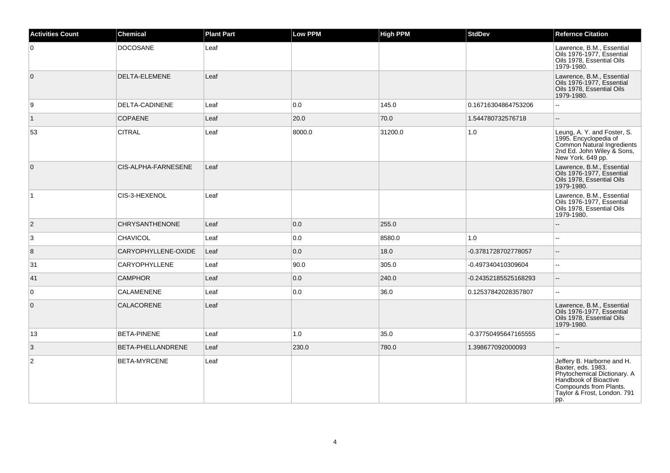| <b>Activities Count</b> | <b>Chemical</b>       | <b>Plant Part</b> | <b>Low PPM</b> | High PPM | <b>StdDev</b>        | <b>Refernce Citation</b>                                                                                                                                                 |
|-------------------------|-----------------------|-------------------|----------------|----------|----------------------|--------------------------------------------------------------------------------------------------------------------------------------------------------------------------|
| 0                       | <b>DOCOSANE</b>       | Leaf              |                |          |                      | Lawrence, B.M., Essential<br>Oils 1976-1977, Essential<br>Oils 1978, Essential Oils<br>1979-1980.                                                                        |
| $\overline{0}$          | DELTA-ELEMENE         | Leaf              |                |          |                      | Lawrence, B.M., Essential<br>Oils 1976-1977, Essential<br>Oils 1978, Essential Oils<br>1979-1980.                                                                        |
| 9                       | DELTA-CADINENE        | Leaf              | 0.0            | 145.0    | 0.16716304864753206  | $\overline{a}$                                                                                                                                                           |
| $\overline{1}$          | <b>COPAENE</b>        | Leaf              | 20.0           | 70.0     | 1.544780732576718    | ă.                                                                                                                                                                       |
| 53                      | <b>CITRAL</b>         | Leaf              | 8000.0         | 31200.0  | 1.0                  | Leung, A. Y. and Foster, S.<br>1995. Encyclopedia of<br>Common Natural Ingredients<br>2nd Ed. John Wiley & Sons,<br>New York. 649 pp.                                    |
| $\overline{0}$          | CIS-ALPHA-FARNESENE   | Leaf              |                |          |                      | Lawrence, B.M., Essential<br>Oils 1976-1977, Essential<br>Oils 1978, Essential Oils<br>1979-1980.                                                                        |
| $\vert$ 1               | CIS-3-HEXENOL         | Leaf              |                |          |                      | Lawrence, B.M., Essential<br>Oils 1976-1977, Essential<br>Oils 1978, Essential Oils<br>1979-1980.                                                                        |
| $\vert$ 2               | <b>CHRYSANTHENONE</b> | Leaf              | 0.0            | 255.0    |                      |                                                                                                                                                                          |
| $\overline{3}$          | <b>CHAVICOL</b>       | Leaf              | 0.0            | 8580.0   | 1.0                  |                                                                                                                                                                          |
| $\overline{8}$          | CARYOPHYLLENE-OXIDE   | Leaf              | 0.0            | 18.0     | -0.3781728702778057  | $\overline{\phantom{a}}$                                                                                                                                                 |
| 31                      | CARYOPHYLLENE         | Leaf              | 90.0           | 305.0    | -0.497340410309604   | $\sim$                                                                                                                                                                   |
| 41                      | <b>CAMPHOR</b>        | Leaf              | 0.0            | 240.0    | -0.24352185525168293 | $\overline{a}$                                                                                                                                                           |
| $\overline{0}$          | <b>CALAMENENE</b>     | Leaf              | 0.0            | 36.0     | 0.12537842028357807  | $\sim$                                                                                                                                                                   |
| $\overline{0}$          | CALACORENE            | Leaf              |                |          |                      | Lawrence, B.M., Essential<br>Oils 1976-1977, Essential<br>Oils 1978, Essential Oils<br>1979-1980.                                                                        |
| 13                      | <b>BETA-PINENE</b>    | Leaf              | 1.0            | 35.0     | -0.37750495647165555 | $\sim$                                                                                                                                                                   |
| 3                       | BETA-PHELLANDRENE     | Leaf              | 230.0          | 780.0    | 1.398677092000093    | ă.                                                                                                                                                                       |
| $\overline{c}$          | <b>BETA-MYRCENE</b>   | Leaf              |                |          |                      | Jeffery B. Harborne and H.<br>Baxter, eds. 1983.<br>Phytochemical Dictionary. A<br>Handbook of Bioactive<br>Compounds from Plants.<br>Taylor & Frost, London. 791<br>pp. |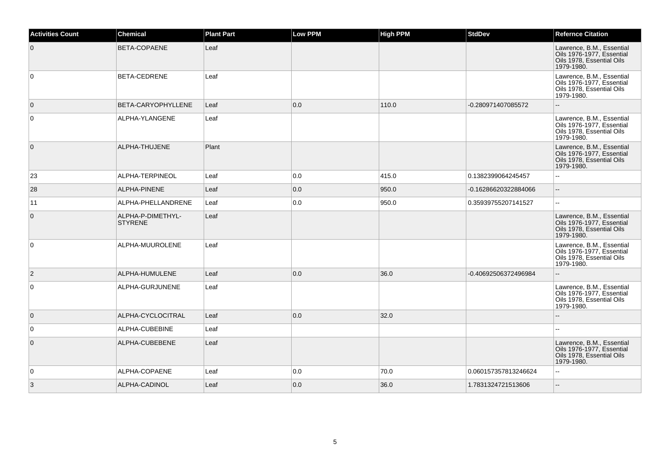| <b>Activities Count</b> | <b>Chemical</b>                     | <b>Plant Part</b> | <b>Low PPM</b> | <b>High PPM</b> | <b>StdDev</b>        | <b>Refernce Citation</b>                                                                          |
|-------------------------|-------------------------------------|-------------------|----------------|-----------------|----------------------|---------------------------------------------------------------------------------------------------|
| $\overline{0}$          | <b>BETA-COPAENE</b>                 | Leaf              |                |                 |                      | Lawrence, B.M., Essential<br>Oils 1976-1977, Essential<br>Oils 1978, Essential Oils<br>1979-1980. |
| $\overline{0}$          | <b>BETA-CEDRENE</b>                 | Leaf              |                |                 |                      | Lawrence, B.M., Essential<br>Oils 1976-1977, Essential<br>Oils 1978. Essential Oils<br>1979-1980. |
| $\overline{0}$          | BETA-CARYOPHYLLENE                  | Leaf              | 0.0            | 110.0           | -0.280971407085572   | $\sim$                                                                                            |
| $\overline{0}$          | ALPHA-YLANGENE                      | Leaf              |                |                 |                      | Lawrence, B.M., Essential<br>Oils 1976-1977. Essential<br>Oils 1978, Essential Oils<br>1979-1980. |
| $\overline{0}$          | ALPHA-THUJENE                       | Plant             |                |                 |                      | Lawrence, B.M., Essential<br>Oils 1976-1977, Essential<br>Oils 1978, Essential Oils<br>1979-1980. |
| 23                      | ALPHA-TERPINEOL                     | Leaf              | 0.0            | 415.0           | 0.1382399064245457   | $\mathbf{L}$                                                                                      |
| 28                      | ALPHA-PINENE                        | Leaf              | 0.0            | 950.0           | -0.16286620322884066 | $\overline{\phantom{a}}$                                                                          |
| 11                      | ALPHA-PHELLANDRENE                  | Leaf              | 0.0            | 950.0           | 0.35939755207141527  | $\mathbf{u}$                                                                                      |
| $\overline{0}$          | ALPHA-P-DIMETHYL-<br><b>STYRENE</b> | Leaf              |                |                 |                      | Lawrence, B.M., Essential<br>Oils 1976-1977, Essential<br>Oils 1978, Essential Oils<br>1979-1980. |
| $\overline{0}$          | ALPHA-MUUROLENE                     | Leaf              |                |                 |                      | Lawrence, B.M., Essential<br>Oils 1976-1977, Essential<br>Oils 1978, Essential Oils<br>1979-1980. |
| $\overline{2}$          | ALPHA-HUMULENE                      | Leaf              | 0.0            | 36.0            | -0.40692506372496984 | $\overline{\phantom{a}}$                                                                          |
| $\overline{0}$          | ALPHA-GURJUNENE                     | Leaf              |                |                 |                      | Lawrence, B.M., Essential<br>Oils 1976-1977, Essential<br>Oils 1978, Essential Oils<br>1979-1980. |
| $\overline{0}$          | ALPHA-CYCLOCITRAL                   | Leaf              | 0.0            | 32.0            |                      | $\sim$                                                                                            |
| $\overline{0}$          | ALPHA-CUBEBINE                      | Leaf              |                |                 |                      | $\overline{a}$                                                                                    |
| $\overline{0}$          | ALPHA-CUBEBENE                      | Leaf              |                |                 |                      | Lawrence, B.M., Essential<br>Oils 1976-1977, Essential<br>Oils 1978, Essential Oils<br>1979-1980. |
| $\overline{0}$          | ALPHA-COPAENE                       | Leaf              | 0.0            | 70.0            | 0.060157357813246624 | $\sim$ $\sim$                                                                                     |
| 3                       | ALPHA-CADINOL                       | Leaf              | 0.0            | 36.0            | 1.7831324721513606   | $\overline{\phantom{a}}$                                                                          |